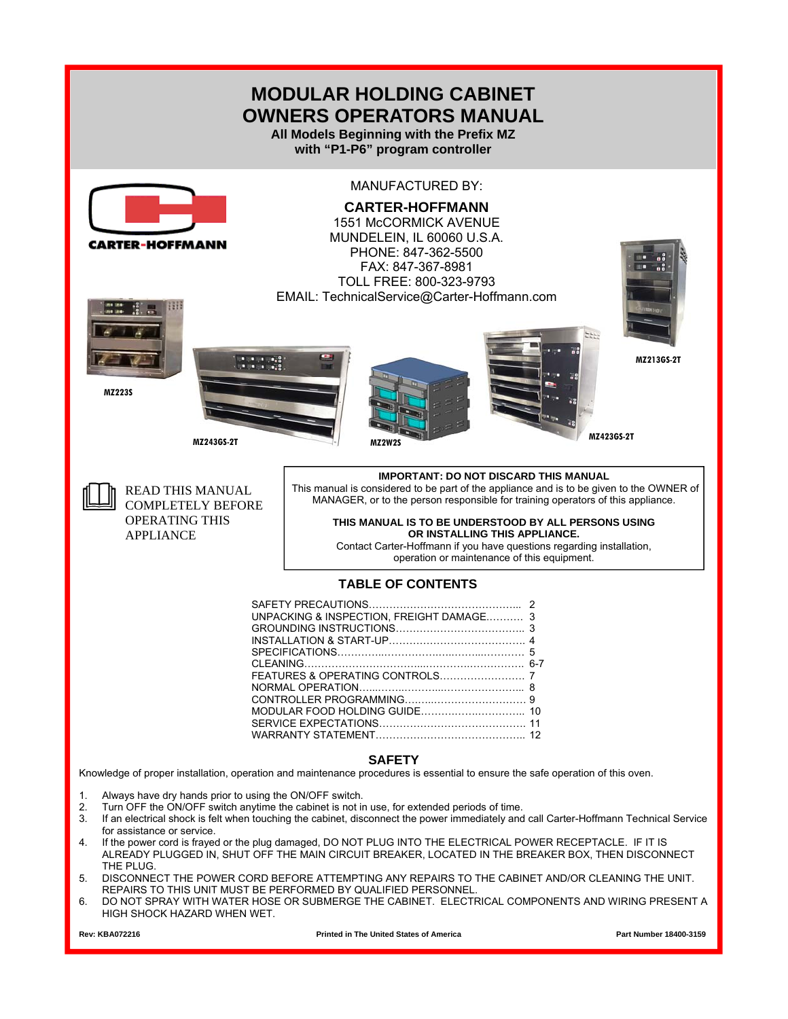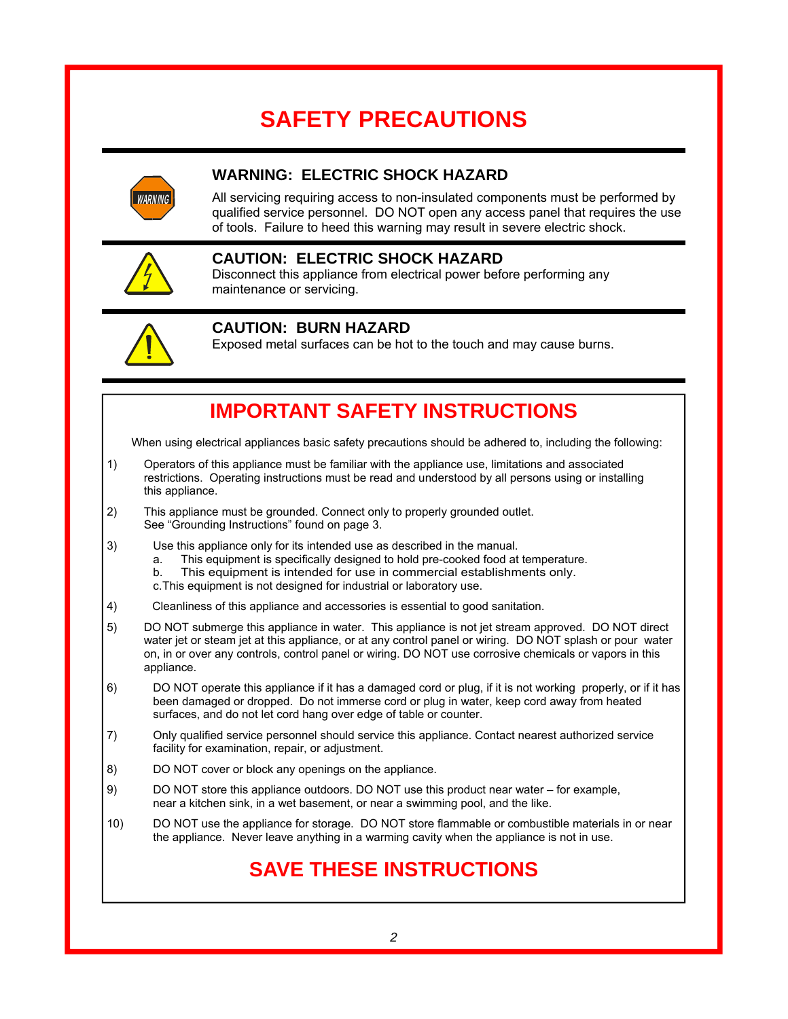# **SAFETY PRECAUTIONS**



### **WARNING: ELECTRIC SHOCK HAZARD**

All servicing requiring access to non-insulated components must be performed by qualified service personnel. DO NOT open any access panel that requires the use of tools. Failure to heed this warning may result in severe electric shock.



### **CAUTION: ELECTRIC SHOCK HAZARD**

Disconnect this appliance from electrical power before performing any maintenance or servicing.



### **CAUTION: BURN HAZARD**

Exposed metal surfaces can be hot to the touch and may cause burns.

## **IMPORTANT SAFETY INSTRUCTIONS**

When using electrical appliances basic safety precautions should be adhered to, including the following:

- 1) Operators of this appliance must be familiar with the appliance use, limitations and associated restrictions. Operating instructions must be read and understood by all persons using or installing this appliance.
- 2) This appliance must be grounded. Connect only to properly grounded outlet. See "Grounding Instructions" found on page 3.
- 3) Use this appliance only for its intended use as described in the manual.
	- a. This equipment is specifically designed to hold pre-cooked food at temperature.
	- b. This equipment is intended for use in commercial establishments only.
	- c. This equipment is not designed for industrial or laboratory use.
- 4) Cleanliness of this appliance and accessories is essential to good sanitation.
- 5) DO NOT submerge this appliance in water. This appliance is not jet stream approved. DO NOT direct water jet or steam jet at this appliance, or at any control panel or wiring. DO NOT splash or pour water on, in or over any controls, control panel or wiring. DO NOT use corrosive chemicals or vapors in this appliance.
- 6) DO NOT operate this appliance if it has a damaged cord or plug, if it is not working properly, or if it has been damaged or dropped. Do not immerse cord or plug in water, keep cord away from heated surfaces, and do not let cord hang over edge of table or counter.
- 7) Only qualified service personnel should service this appliance. Contact nearest authorized service facility for examination, repair, or adjustment.
- 8) DO NOT cover or block any openings on the appliance.
- 9) DO NOT store this appliance outdoors. DO NOT use this product near water for example, near a kitchen sink, in a wet basement, or near a swimming pool, and the like.
- 10) DO NOT use the appliance for storage. DO NOT store flammable or combustible materials in or near the appliance. Never leave anything in a warming cavity when the appliance is not in use.

## **SAVE THESE INSTRUCTIONS**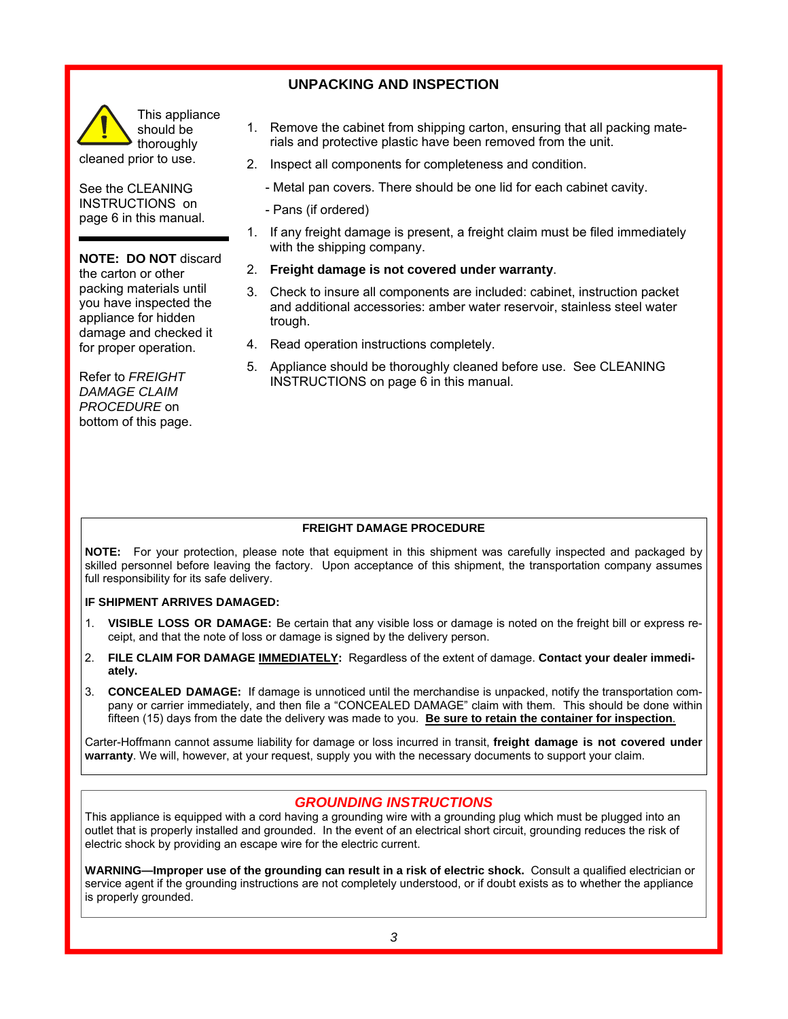### **UNPACKING AND INSPECTION**



See the CLEANING INSTRUCTIONS on page 6 in this manual.

**NOTE: DO NOT discard** the carton or other packing materials until you have inspected the appliance for hidden damage and checked it for proper operation.

Refer to *FREIGHT DAMAGE CLAIM PROCEDURE* on bottom of this page.

- 1. Remove the cabinet from shipping carton, ensuring that all packing materials and protective plastic have been removed from the unit.
- 2. Inspect all components for completeness and condition.
	- Metal pan covers. There should be one lid for each cabinet cavity.
	- Pans (if ordered)
- 1. If any freight damage is present, a freight claim must be filed immediately with the shipping company.
- 2. **Freight damage is not covered under warranty**.
- 3. Check to insure all components are included: cabinet, instruction packet and additional accessories: amber water reservoir, stainless steel water trough.
- 4. Read operation instructions completely.
- 5. Appliance should be thoroughly cleaned before use. See CLEANING INSTRUCTIONS on page 6 in this manual.

### **FREIGHT DAMAGE PROCEDURE**

**NOTE:** For your protection, please note that equipment in this shipment was carefully inspected and packaged by skilled personnel before leaving the factory. Upon acceptance of this shipment, the transportation company assumes full responsibility for its safe delivery.

#### **IF SHIPMENT ARRIVES DAMAGED:**

- 1. **VISIBLE LOSS OR DAMAGE:** Be certain that any visible loss or damage is noted on the freight bill or express receipt, and that the note of loss or damage is signed by the delivery person.
- 2. **FILE CLAIM FOR DAMAGE IMMEDIATELY:** Regardless of the extent of damage. **Contact your dealer immediately.**
- 3. **CONCEALED DAMAGE:** If damage is unnoticed until the merchandise is unpacked, notify the transportation company or carrier immediately, and then file a "CONCEALED DAMAGE" claim with them. This should be done within fifteen (15) days from the date the delivery was made to you. **Be sure to retain the container for inspection**.

Carter-Hoffmann cannot assume liability for damage or loss incurred in transit, **freight damage is not covered under warranty**. We will, however, at your request, supply you with the necessary documents to support your claim.

### *GROUNDING INSTRUCTIONS*

This appliance is equipped with a cord having a grounding wire with a grounding plug which must be plugged into an outlet that is properly installed and grounded. In the event of an electrical short circuit, grounding reduces the risk of electric shock by providing an escape wire for the electric current.

**WARNING—Improper use of the grounding can result in a risk of electric shock.** Consult a qualified electrician or service agent if the grounding instructions are not completely understood, or if doubt exists as to whether the appliance is properly grounded.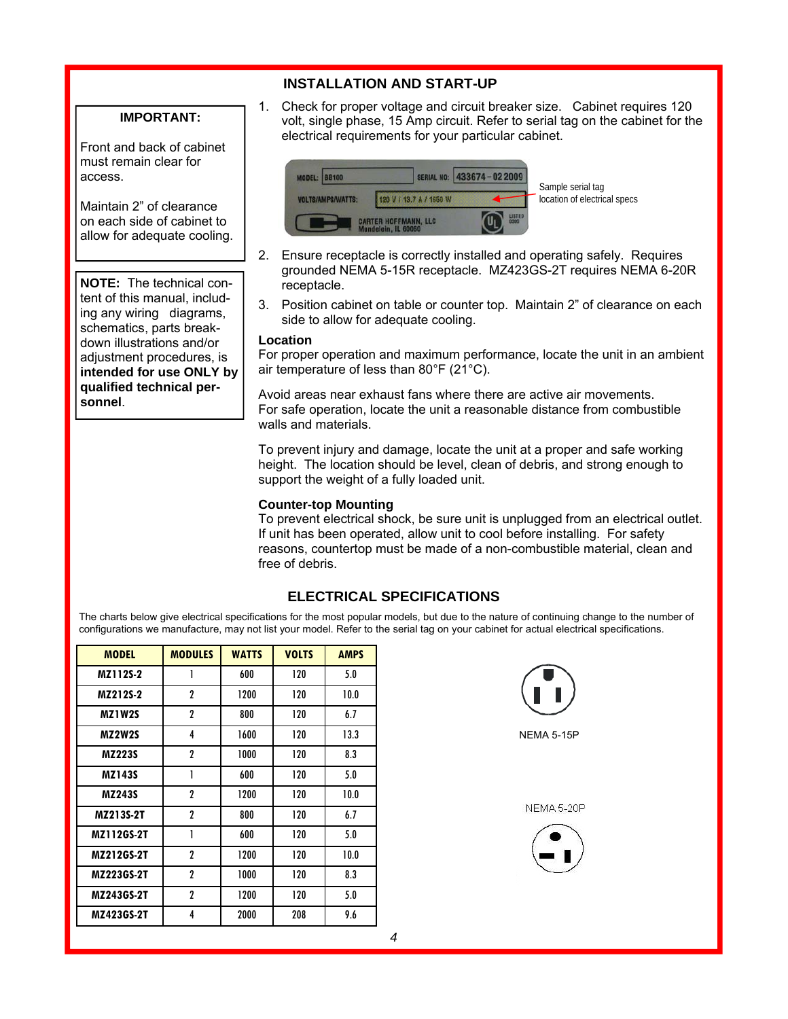### **INSTALLATION AND START-UP**

### **IMPORTANT:**

Front and back of cabinet must remain clear for access.

Maintain 2" of clearance on each side of cabinet to allow for adequate cooling.

**NOTE:** The technical content of this manual, including any wiring diagrams, schematics, parts breakdown illustrations and/or adjustment procedures, is **intended for use ONLY by qualified technical personnel**.

1. Check for proper voltage and circuit breaker size. Cabinet requires 120 volt, single phase, 15 Amp circuit. Refer to serial tag on the cabinet for the electrical requirements for your particular cabinet.



- 2. Ensure receptacle is correctly installed and operating safely. Requires grounded NEMA 5-15R receptacle. MZ423GS-2T requires NEMA 6-20R receptacle.
- 3. Position cabinet on table or counter top. Maintain 2" of clearance on each side to allow for adequate cooling.

#### **Location**

For proper operation and maximum performance, locate the unit in an ambient air temperature of less than 80°F (21°C).

Avoid areas near exhaust fans where there are active air movements. For safe operation, locate the unit a reasonable distance from combustible walls and materials.

To prevent injury and damage, locate the unit at a proper and safe working height. The location should be level, clean of debris, and strong enough to support the weight of a fully loaded unit.

#### **Counter-top Mounting**

To prevent electrical shock, be sure unit is unplugged from an electrical outlet. If unit has been operated, allow unit to cool before installing. For safety reasons, countertop must be made of a non-combustible material, clean and free of debris.

### **ELECTRICAL SPECIFICATIONS**

The charts below give electrical specifications for the most popular models, but due to the nature of continuing change to the number of configurations we manufacture, may not list your model. Refer to the serial tag on your cabinet for actual electrical specifications.

| <b>MODEL</b>  | <b>MODULES</b> | <b>WATTS</b> | <b>VOLTS</b> | <b>AMPS</b> |
|---------------|----------------|--------------|--------------|-------------|
| MZ112S-2      | 1              | 600          | 120          | 5.0         |
| MZ212S-2      | 2              | 1200         | 120          | 10.0        |
| MZ1W2S        | 2              | 800          | 120          | 6.7         |
| <b>MZ2W2S</b> | 4              | 1600         | 120          | 13.3        |
| <b>MZ223S</b> | 2              | 1000         | 120          | 8.3         |
| <b>MZ143S</b> | 1              | 600          | 120          | 5.0         |
| <b>MZ243S</b> | 2              | 1200         | 120          | 10.0        |
| MZ213S-2T     | $\overline{c}$ | 800          | 120          | 6.7         |
| MZ112GS-2T    | 1              | 600          | 120          | 5.0         |
| MZ212GS-2T    | 2              | 1200         | 120          | 10.0        |
| MZ223GS-2T    | 2              | 1000         | 120          | 8.3         |
| MZ243GS-2T    | 2              | 1200         | 120          | 5.0         |
| MZ423GS-2T    | 4              | 2000         | 208          | 9.6         |

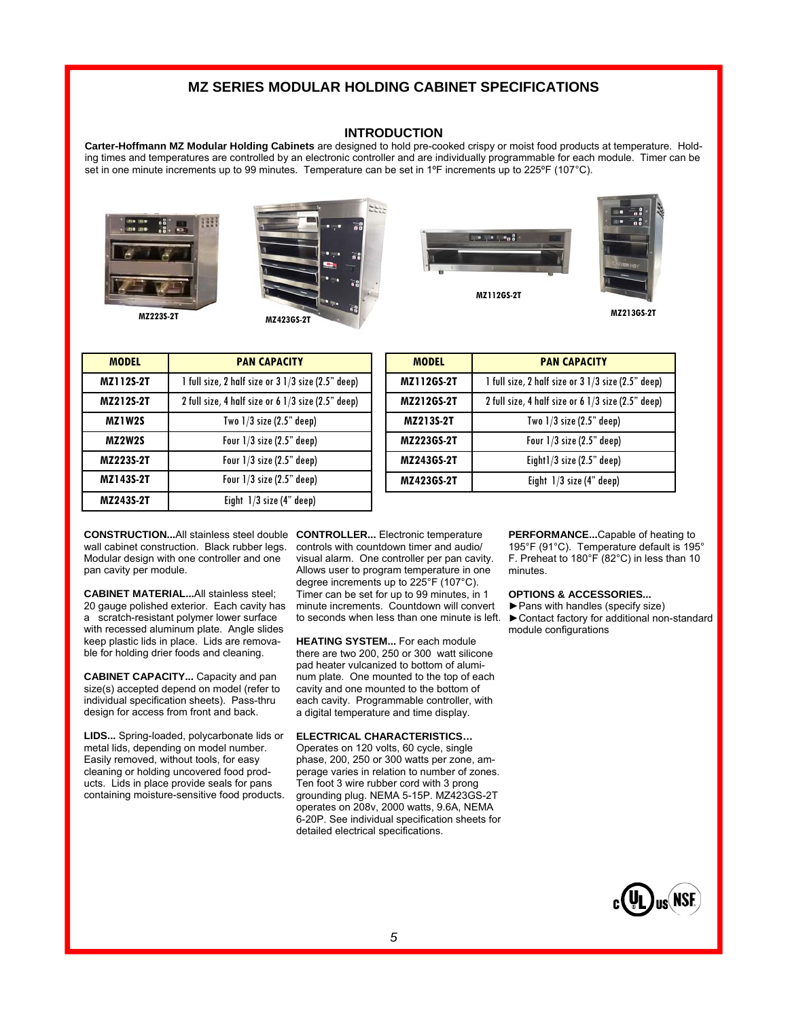### **MZ SERIES MODULAR HOLDING CABINET SPECIFICATIONS**

#### **INTRODUCTION**

**Carter-Hoffmann MZ Modular Holding Cabinets** are designed to hold pre-cooked crispy or moist food products at temperature. Holding times and temperatures are controlled by an electronic controller and are individually programmable for each module. Timer can be set in one minute increments up to 99 minutes. Temperature can be set in 1ºF increments up to 225°F (107°C).









**MZ213GS-2T** 

| <b>MODEL</b>  | <b>PAN CAPACITY</b>                                |  |  |
|---------------|----------------------------------------------------|--|--|
| MZ112S-2T     | 1 full size, 2 half size or 3 1/3 size (2.5" deep) |  |  |
| MZ212S-2T     | 2 full size, 4 half size or 6 1/3 size (2.5" deep) |  |  |
| MZ1W2S        | Two $1/3$ size $(2.5"$ deep)                       |  |  |
| <b>MZ2W2S</b> | Four $1/3$ size $(2.5"$ deep)                      |  |  |
| MZ223S-2T     | Four $1/3$ size $(2.5"$ deep)                      |  |  |
| MZ143S-2T     | Four $1/3$ size $(2.5"$ deep)                      |  |  |
| MZ243S-2T     | Eight $1/3$ size $(4"$ deep)                       |  |  |

| <b>MODEL</b>      | <b>PAN CAPACITY</b>                                |  |  |
|-------------------|----------------------------------------------------|--|--|
| MZ112GS-2T        | 1 full size, 2 half size or 3 1/3 size (2.5" deep) |  |  |
| MZ212GS-2T        | 2 full size, 4 half size or 6 1/3 size (2.5" deep) |  |  |
| MZ213S-2T         | Two $1/3$ size $(2.5"$ deep)                       |  |  |
| <b>MZ223GS-2T</b> | Four $1/3$ size $(2.5"$ deep)                      |  |  |
| MZ243GS-2T        | Eight1/3 size (2.5" deep)                          |  |  |
| MZ423GS-2T        | Eight $1/3$ size (4" deep)                         |  |  |
|                   |                                                    |  |  |

**CONSTRUCTION...**All stainless steel double **CONTROLLER...** Electronic temperature wall cabinet construction. Black rubber legs. Modular design with one controller and one pan cavity per module.

**CABINET MATERIAL...**All stainless steel; 20 gauge polished exterior. Each cavity has a scratch-resistant polymer lower surface with recessed aluminum plate. Angle slides keep plastic lids in place. Lids are removable for holding drier foods and cleaning.

**CABINET CAPACITY...** Capacity and pan size(s) accepted depend on model (refer to individual specification sheets). Pass-thru design for access from front and back.

**LIDS...** Spring-loaded, polycarbonate lids or metal lids, depending on model number. Easily removed, without tools, for easy cleaning or holding uncovered food products. Lids in place provide seals for pans containing moisture-sensitive food products. controls with countdown timer and audio/ visual alarm. One controller per pan cavity. Allows user to program temperature in one degree increments up to 225°F (107°C). Timer can be set for up to 99 minutes, in 1 minute increments. Countdown will convert to seconds when less than one minute is left.

**HEATING SYSTEM...** For each module there are two 200, 250 or 300 watt silicone pad heater vulcanized to bottom of aluminum plate. One mounted to the top of each cavity and one mounted to the bottom of each cavity. Programmable controller, with a digital temperature and time display.

#### **ELECTRICAL CHARACTERISTICS…**

Operates on 120 volts, 60 cycle, single phase, 200, 250 or 300 watts per zone, amperage varies in relation to number of zones. Ten foot 3 wire rubber cord with 3 prong grounding plug. NEMA 5-15P. MZ423GS-2T operates on 208v, 2000 watts, 9.6A, NEMA 6-20P. See individual specification sheets for detailed electrical specifications.

**PERFORMANCE...**Capable of heating to 195°F (91°C). Temperature default is 195° F. Preheat to 180°F (82°C) in less than 10 minutes.

#### **OPTIONS & ACCESSORIES...**

►Pans with handles (specify size) ►Contact factory for additional non-standard module configurations

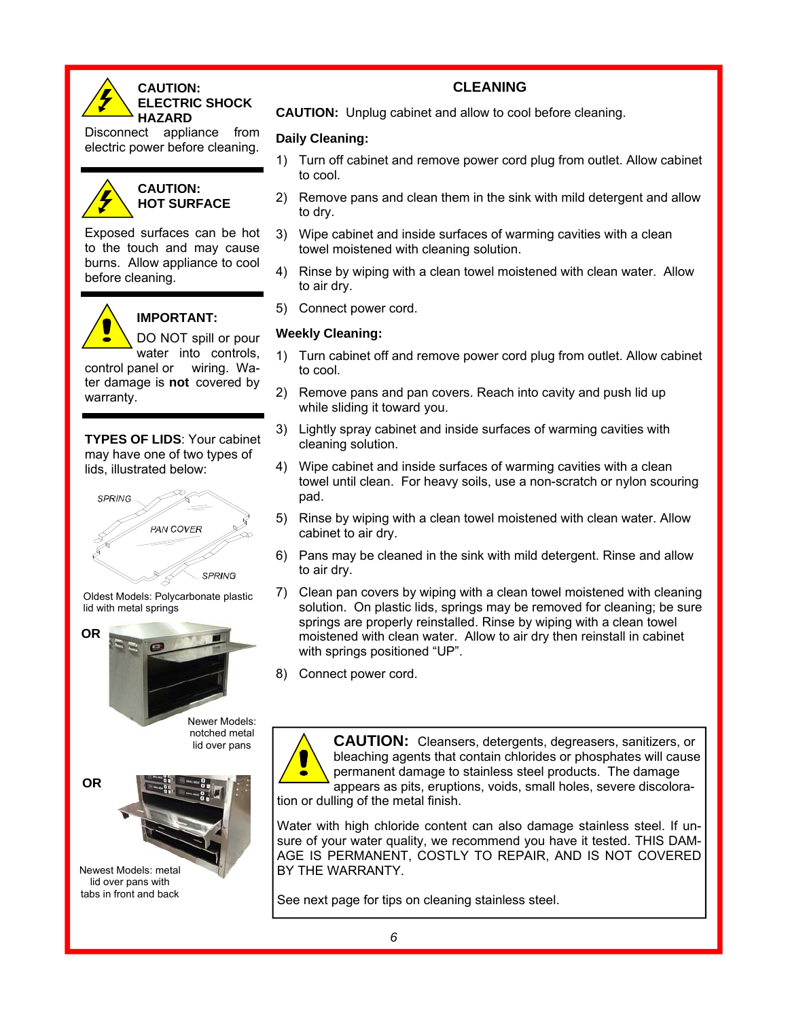

### **CAUTION: ELECTRIC SHOCK HAZARD**

Disconnect appliance from electric power before cleaning.



#### **CAUTION: HOT SURFACE**

Exposed surfaces can be hot to the touch and may cause burns. Allow appliance to cool before cleaning.



### **IMPORTANT:**

DO NOT spill or pour water into controls, control panel or wiring. Wa-

ter damage is **not** covered by warranty.

**TYPES OF LIDS**: Your cabinet may have one of two types of lids, illustrated below:







lid over pans with tabs in front and back

### **CLEANING**

**CAUTION:** Unplug cabinet and allow to cool before cleaning.

## **Daily Cleaning:**

- 1) Turn off cabinet and remove power cord plug from outlet. Allow cabinet to cool.
- 2) Remove pans and clean them in the sink with mild detergent and allow to dry.
- 3) Wipe cabinet and inside surfaces of warming cavities with a clean towel moistened with cleaning solution.
- 4) Rinse by wiping with a clean towel moistened with clean water. Allow to air dry.
- 5) Connect power cord.

## **Weekly Cleaning:**

- 1) Turn cabinet off and remove power cord plug from outlet. Allow cabinet to cool.
- 2) Remove pans and pan covers. Reach into cavity and push lid up while sliding it toward you.
- 3) Lightly spray cabinet and inside surfaces of warming cavities with cleaning solution.
- 4) Wipe cabinet and inside surfaces of warming cavities with a clean towel until clean. For heavy soils, use a non-scratch or nylon scouring pad.
- 5) Rinse by wiping with a clean towel moistened with clean water. Allow cabinet to air dry.
- 6) Pans may be cleaned in the sink with mild detergent. Rinse and allow to air dry.
- 7) Clean pan covers by wiping with a clean towel moistened with cleaning solution. On plastic lids, springs may be removed for cleaning; be sure springs are properly reinstalled. Rinse by wiping with a clean towel moistened with clean water. Allow to air dry then reinstall in cabinet with springs positioned "UP".
- 8) Connect power cord.



**CAUTION:** Cleansers, detergents, degreasers, sanitizers, or bleaching agents that contain chlorides or phosphates will cause permanent damage to stainless steel products. The damage appears as pits, eruptions, voids, small holes, severe discoloration or dulling of the metal finish.

Water with high chloride content can also damage stainless steel. If unsure of your water quality, we recommend you have it tested. THIS DAM-AGE IS PERMANENT, COSTLY TO REPAIR, AND IS NOT COVERED BY THE WARRANTY.

See next page for tips on cleaning stainless steel.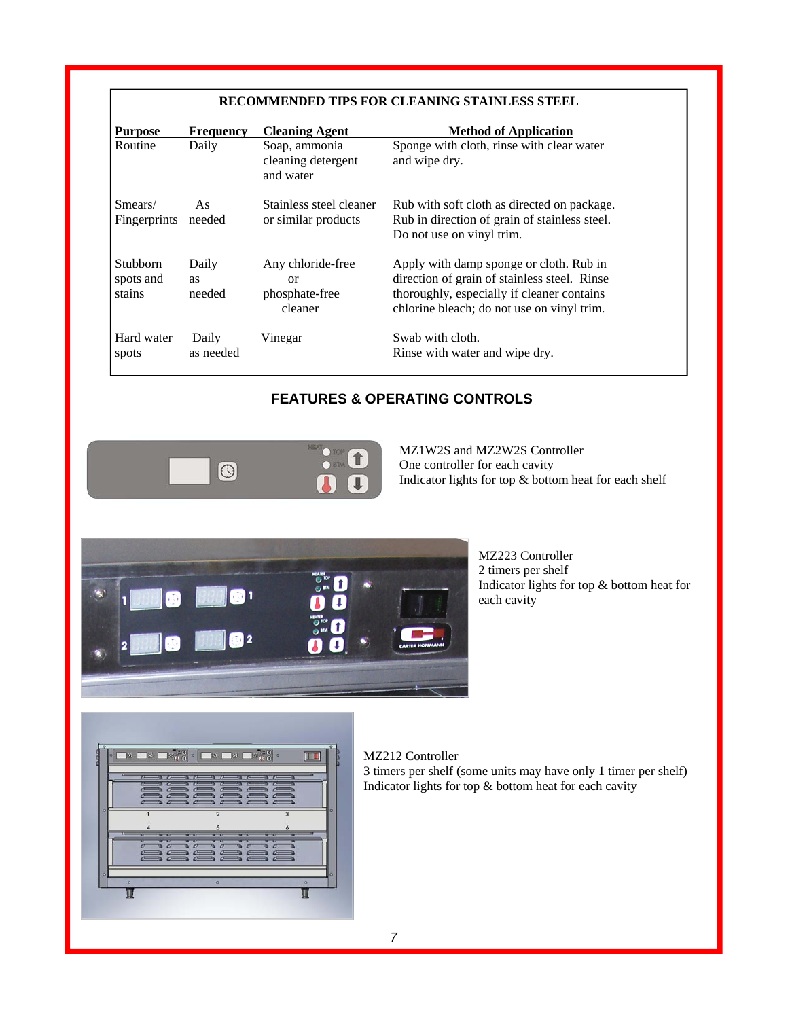### **RECOMMENDED TIPS FOR CLEANING STAINLESS STEEL**

| <b>Purpose</b>                         | <b>Frequency</b>      | <b>Cleaning Agent</b>                                       | <b>Method of Application</b>                                                                                                                                                        |  |
|----------------------------------------|-----------------------|-------------------------------------------------------------|-------------------------------------------------------------------------------------------------------------------------------------------------------------------------------------|--|
| Routine                                | Daily                 | Soap, ammonia<br>cleaning detergent<br>and water            | Sponge with cloth, rinse with clear water<br>and wipe dry.                                                                                                                          |  |
| Smears/<br>Fingerprints                | As<br>needed          | Stainless steel cleaner<br>or similar products              | Rub with soft cloth as directed on package.<br>Rub in direction of grain of stainless steel.<br>Do not use on vinyl trim.                                                           |  |
| <b>Stubborn</b><br>spots and<br>stains | Daily<br>as<br>needed | Any chloride-free<br><b>or</b><br>phosphate-free<br>cleaner | Apply with damp sponge or cloth. Rub in<br>direction of grain of stainless steel. Rinse<br>thoroughly, especially if cleaner contains<br>chlorine bleach; do not use on vinyl trim. |  |
| Hard water<br>spots                    | Daily<br>as needed    | Vinegar                                                     | Swab with cloth.<br>Rinse with water and wipe dry.                                                                                                                                  |  |

### **FEATURES & OPERATING CONTROLS**



MZ1W2S and MZ2W2S Controller One controller for each cavity Indicator lights for top & bottom heat for each shelf



MZ223 Controller 2 timers per shelf Indicator lights for top & bottom heat for each cavity



MZ212 Controller 3 timers per shelf (some units may have only 1 timer per shelf) Indicator lights for top & bottom heat for each cavity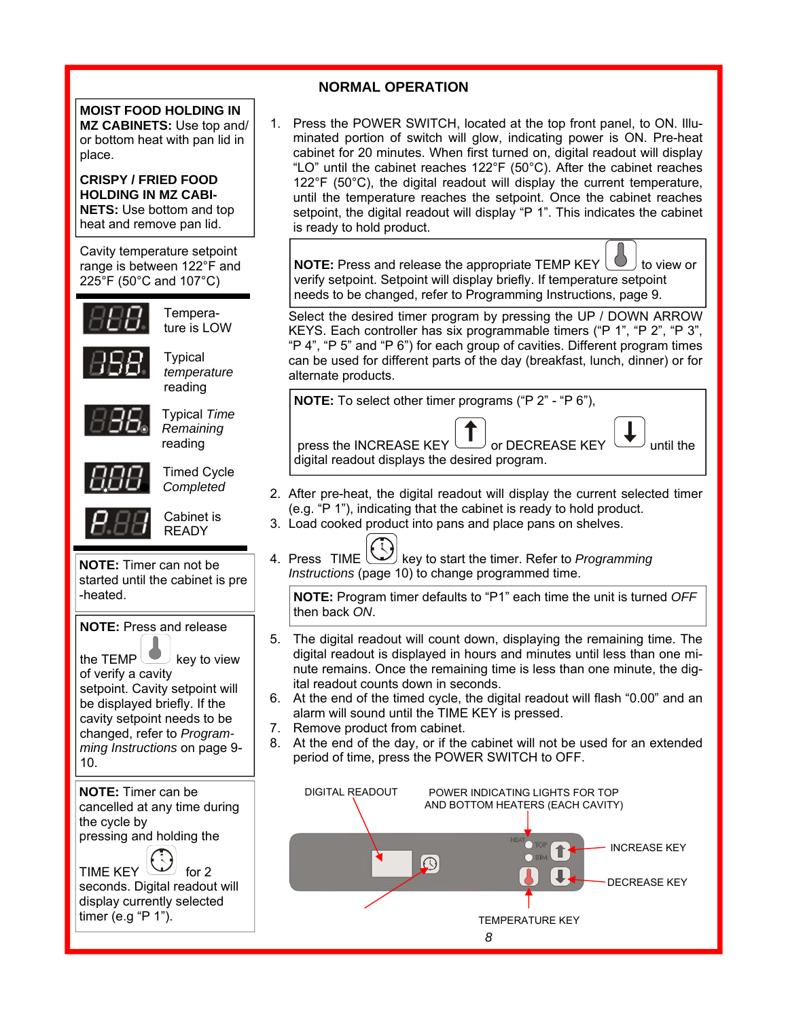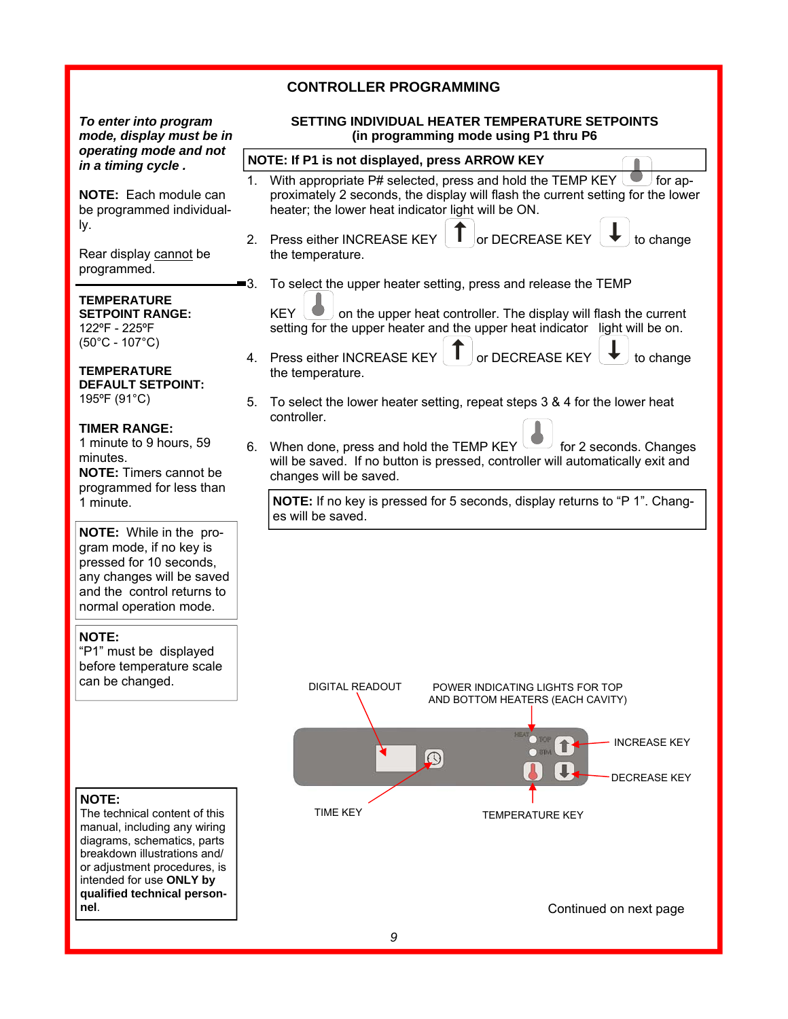### **CONTROLLER PROGRAMMING**

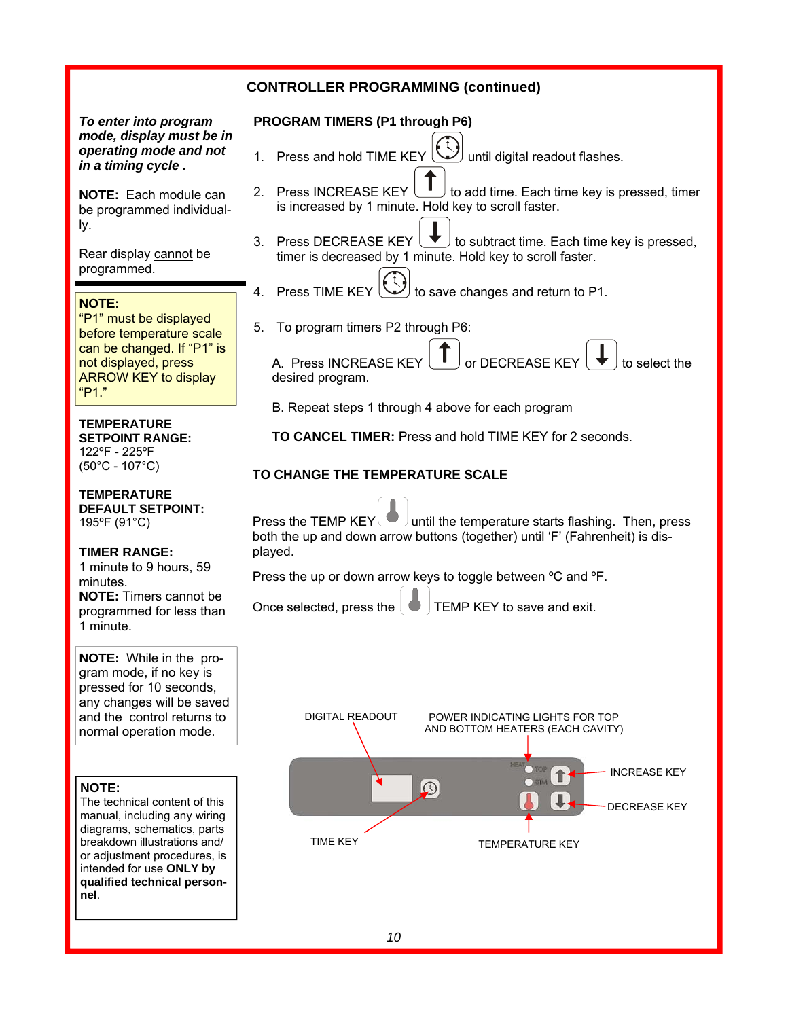### **CONTROLLER PROGRAMMING (continued)**

*To enter into program mode, display must be in operating mode and not in a timing cycle .* 

**NOTE:** Each module can be programmed individually.

Rear display cannot be programmed.

#### **NOTE:**

"P1" must be displayed before temperature scale can be changed. If "P1" is not displayed, press ARROW KEY to display "P1."

#### **TEMPERATURE**

**SETPOINT RANGE:**  122ºF - 225ºF (50°C - 107°C)

#### **TEMPERATURE DEFAULT SETPOINT:**

195ºF (91°C)

### **TIMER RANGE:**

1 minute to 9 hours, 59 minutes. **NOTE:** Timers cannot be programmed for less than 1 minute.

**NOTE:** While in the program mode, if no key is pressed for 10 seconds, any changes will be saved and the control returns to normal operation mode.

#### **NOTE:**

The technical content of this manual, including any wiring diagrams, schematics, parts breakdown illustrations and/ or adjustment procedures, is intended for use **ONLY by qualified technical personnel**.

#### **PROGRAM TIMERS (P1 through P6)**

- 1. Press and hold TIME KEY  $\left(\bigvee\right)$  until digital readout flashes.
- 2. Press INCREASE KEY  $\bigcup$  to add time. Each time key is pressed, timer is increased by 1 minute. Hold key to scroll faster.
- 3. Press DECREASE KEY  $\blacktriangleright$  to subtract time. Each time key is pressed, timer is decreased by 1 minute. Hold key to scroll faster.
	- Press TIME KEY  $\omega$  to save changes and return to P1.
- 5. To program timers P2 through P6:

A. Press INCREASE KEY  $\begin{bmatrix} 1 \\ 1 \end{bmatrix}$  or DECREASE KEY  $\begin{bmatrix} 1 \\ 1 \end{bmatrix}$  to select the desired program.

B. Repeat steps 1 through 4 above for each program

 **TO CANCEL TIMER:** Press and hold TIME KEY for 2 seconds.

### **TO CHANGE THE TEMPERATURE SCALE**

Press the TEMP  $KEY$  until the temperature starts flashing. Then, press both the up and down arrow buttons (together) until 'F' (Fahrenheit) is displayed.

Press the up or down arrow keys to toggle between ºC and ºF.

Once selected, press the  $\Box$  TEMP KEY to save and exit.

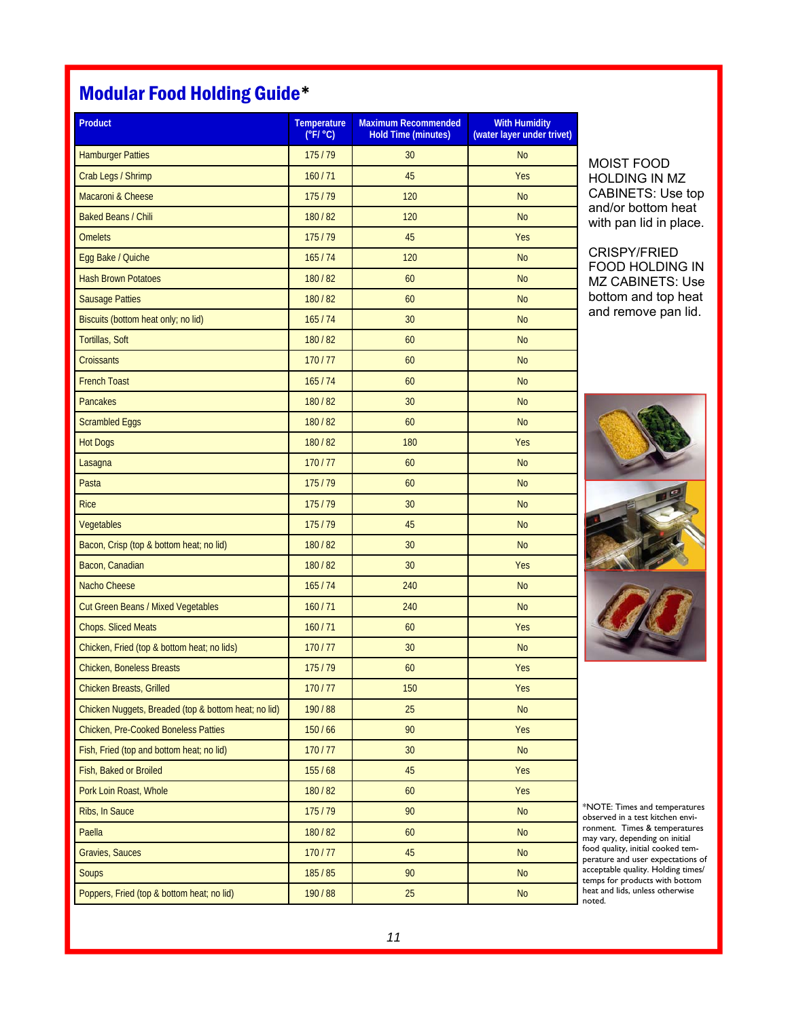## Modular Food Holding Guide\*

| Product                                              | <b>Temperature</b><br>$(^{\circ}F/^{\circ}C)$ | <b>Maximum Recommended</b><br><b>Hold Time (minutes)</b> | <b>With Humidity</b><br>(water layer under trivet) |
|------------------------------------------------------|-----------------------------------------------|----------------------------------------------------------|----------------------------------------------------|
| <b>Hamburger Patties</b>                             | 175/79                                        | 30                                                       | <b>No</b>                                          |
| Crab Legs / Shrimp                                   | 160/71                                        | 45                                                       | Yes                                                |
| Macaroni & Cheese                                    | 175/79                                        | 120                                                      | <b>No</b>                                          |
| <b>Baked Beans / Chili</b>                           | 180/82                                        | 120                                                      | <b>No</b>                                          |
| <b>Omelets</b>                                       | 175/79                                        | 45                                                       | Yes                                                |
| Egg Bake / Quiche                                    | 165/74                                        | 120                                                      | <b>No</b>                                          |
| <b>Hash Brown Potatoes</b>                           | 180/82                                        | 60                                                       | <b>No</b>                                          |
| <b>Sausage Patties</b>                               | 180/82                                        | 60                                                       | <b>No</b>                                          |
| Biscuits (bottom heat only; no lid)                  | 165/74                                        | 30                                                       | <b>No</b>                                          |
| Tortillas, Soft                                      | 180/82                                        | 60                                                       | <b>No</b>                                          |
| <b>Croissants</b>                                    | 170/77                                        | 60                                                       | <b>No</b>                                          |
| <b>French Toast</b>                                  | 165/74                                        | 60                                                       | <b>No</b>                                          |
| Pancakes                                             | 180/82                                        | 30                                                       | <b>No</b>                                          |
| <b>Scrambled Eggs</b>                                | 180/82                                        | 60                                                       | <b>No</b>                                          |
| <b>Hot Dogs</b>                                      | 180/82                                        | 180                                                      | Yes                                                |
| Lasagna                                              | 170/77                                        | 60                                                       | <b>No</b>                                          |
| Pasta                                                | 175/79                                        | 60                                                       | <b>No</b>                                          |
| <b>Rice</b>                                          | 175/79                                        | 30                                                       | <b>No</b>                                          |
| Vegetables                                           | 175/79                                        | 45                                                       | <b>No</b>                                          |
| Bacon, Crisp (top & bottom heat; no lid)             | 180/82                                        | 30                                                       | <b>No</b>                                          |
| Bacon, Canadian                                      | 180/82                                        | 30                                                       | Yes                                                |
| Nacho Cheese                                         | 165/74                                        | 240                                                      | <b>No</b>                                          |
| Cut Green Beans / Mixed Vegetables                   | 160/71                                        | 240                                                      | <b>No</b>                                          |
| <b>Chops. Sliced Meats</b>                           | 160/71                                        | 60                                                       | Yes                                                |
| Chicken, Fried (top & bottom heat; no lids)          | 170/77                                        | 30                                                       | <b>No</b>                                          |
| <b>Chicken, Boneless Breasts</b>                     | 175/79                                        | 60                                                       | Yes                                                |
| Chicken Breasts, Grilled                             | 170/77                                        | 150                                                      | Yes                                                |
| Chicken Nuggets, Breaded (top & bottom heat; no lid) | 190/88                                        | 25                                                       | <b>No</b>                                          |
| <b>Chicken, Pre-Cooked Boneless Patties</b>          | 150/66                                        | 90                                                       | Yes                                                |
| Fish, Fried (top and bottom heat; no lid)            | 170/77                                        | 30                                                       | <b>No</b>                                          |
| Fish, Baked or Broiled                               | 155/68                                        | 45                                                       | Yes                                                |
| Pork Loin Roast, Whole                               | 180/82                                        | 60                                                       | Yes                                                |
| Ribs, In Sauce                                       | 175/79                                        | 90                                                       | <b>No</b>                                          |
| Paella                                               | 180/82                                        | 60                                                       | <b>No</b>                                          |
| <b>Gravies, Sauces</b>                               | 170/77                                        | 45                                                       | <b>No</b>                                          |
| Soups                                                | 185/85                                        | 90                                                       | <b>No</b>                                          |
| Poppers, Fried (top & bottom heat; no lid)           | 190/88                                        | 25                                                       | <b>No</b>                                          |

MOIST FOOD HOLDING IN MZ CABINETS: Use top and/or bottom heat with pan lid in place.

### CRISPY/FRIED FOOD HOLDING IN MZ CABINETS: Use bottom and top heat and remove pan lid.



\*NOTE: Times and temperatures observed in a test kitchen environment. Times & temperatures may vary, depending on initial food quality, initial cooked temperature and user expectations of acceptable quality. Holding times/ temps for products with bottom heat and lids, unless otherwise noted.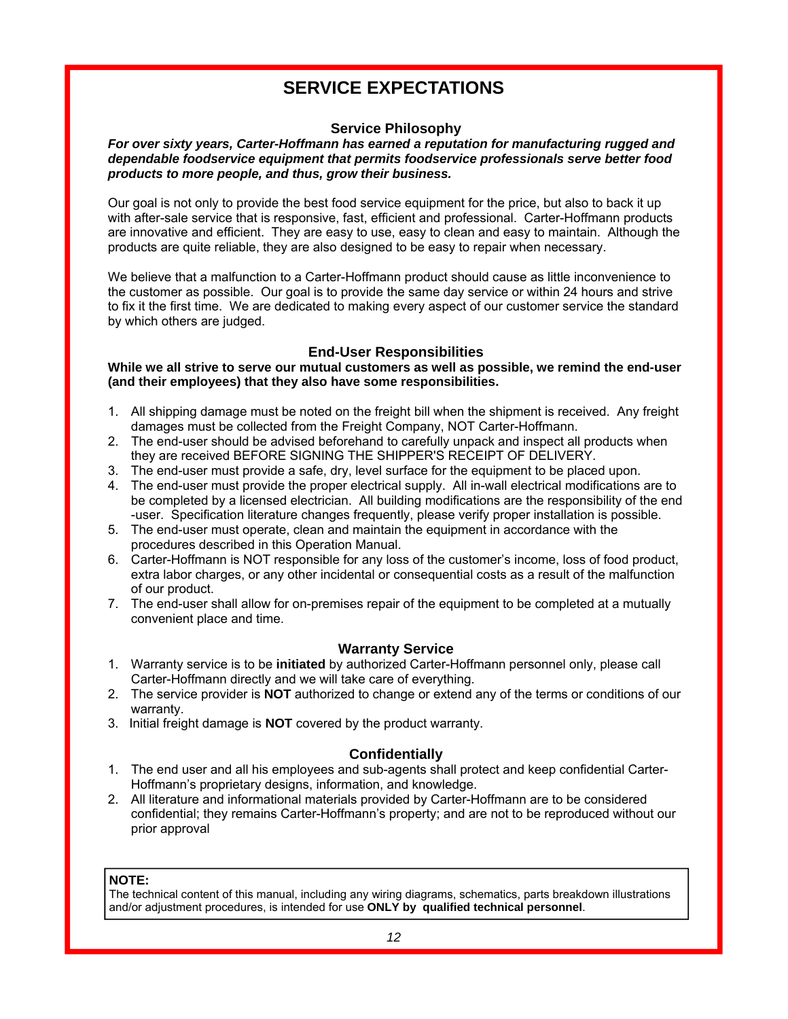## **SERVICE EXPECTATIONS**

### **Service Philosophy**

#### *For over sixty years, Carter-Hoffmann has earned a reputation for manufacturing rugged and dependable foodservice equipment that permits foodservice professionals serve better food products to more people, and thus, grow their business.*

Our goal is not only to provide the best food service equipment for the price, but also to back it up with after-sale service that is responsive, fast, efficient and professional. Carter-Hoffmann products are innovative and efficient. They are easy to use, easy to clean and easy to maintain. Although the products are quite reliable, they are also designed to be easy to repair when necessary.

We believe that a malfunction to a Carter-Hoffmann product should cause as little inconvenience to the customer as possible. Our goal is to provide the same day service or within 24 hours and strive to fix it the first time. We are dedicated to making every aspect of our customer service the standard by which others are judged.

### **End-User Responsibilities**

### **While we all strive to serve our mutual customers as well as possible, we remind the end-user (and their employees) that they also have some responsibilities.**

- 1. All shipping damage must be noted on the freight bill when the shipment is received. Any freight damages must be collected from the Freight Company, NOT Carter-Hoffmann.
- 2. The end-user should be advised beforehand to carefully unpack and inspect all products when they are received BEFORE SIGNING THE SHIPPER'S RECEIPT OF DELIVERY.
- 3. The end-user must provide a safe, dry, level surface for the equipment to be placed upon.
- 4. The end-user must provide the proper electrical supply. All in-wall electrical modifications are to be completed by a licensed electrician. All building modifications are the responsibility of the end -user. Specification literature changes frequently, please verify proper installation is possible.
- 5. The end-user must operate, clean and maintain the equipment in accordance with the procedures described in this Operation Manual.
- 6. Carter-Hoffmann is NOT responsible for any loss of the customer's income, loss of food product, extra labor charges, or any other incidental or consequential costs as a result of the malfunction of our product.
- 7. The end-user shall allow for on-premises repair of the equipment to be completed at a mutually convenient place and time.

### **Warranty Service**

- 1. Warranty service is to be **initiated** by authorized Carter-Hoffmann personnel only, please call Carter-Hoffmann directly and we will take care of everything.
- 2. The service provider is **NOT** authorized to change or extend any of the terms or conditions of our warranty.
- 3. Initial freight damage is **NOT** covered by the product warranty.

### **Confidentially**

- 1. The end user and all his employees and sub-agents shall protect and keep confidential Carter-Hoffmann's proprietary designs, information, and knowledge.
- 2. All literature and informational materials provided by Carter-Hoffmann are to be considered confidential; they remains Carter-Hoffmann's property; and are not to be reproduced without our prior approval

### **NOTE:**

The technical content of this manual, including any wiring diagrams, schematics, parts breakdown illustrations and/or adjustment procedures, is intended for use **ONLY by qualified technical personnel**.